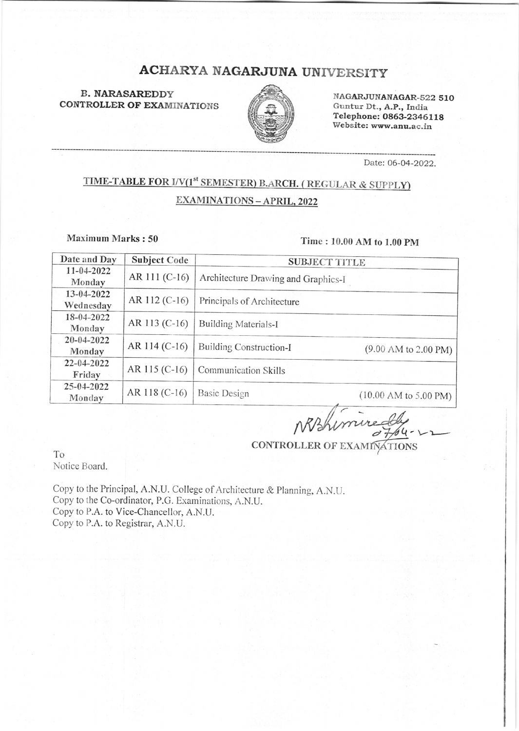# NAGARJUNA UNIVERSITY

B. <mark>NARASAREDD</mark>Y<br>TR**OLLER OF EXA**MINATION B. NARASAREDDY<br>CONTROLLER OF EXAMINATIONS



NAGARJUNANAGAR-s22 51O Guntur Dt., A.P., India Telephone: 0863-23461 18 Website: www.anu.ac.in

Date: 06-04 -2022.

## TIME-TABLE FOR I/V(1<sup>st</sup> SEMESTER) B.ARCH. (REGULAR & SUPPLY) EXAMINATIONS - APRIL, 2022

Maximum Marks: 50

#### Time : 10.00 AM to 1.00 pM

| Date and Day               | <b>Subject Code</b> | <b>SUBJECT TITLE</b>                |                                          |
|----------------------------|---------------------|-------------------------------------|------------------------------------------|
| $11 - 04 - 2022$<br>Monday | AR 111 (C-16)       | Architecture Drawing and Graphics-I |                                          |
| 13-04-2022<br>Wednesday    | AR 112 (C-16)       | Principals of Architecture          |                                          |
| 18-04-2022<br>Monday       | AR 113 (C-16)       | <b>Building Materials-I</b>         |                                          |
| 20-04-2022<br>Monday       | AR 114 (C-16)       | <b>Building Construction-I</b>      | $(9.00 \text{ AM to } 2.00 \text{ PM})$  |
| 22-04-2022<br>Friday       | AR 115 (C-16)       | Communication Skills                |                                          |
| 25-04-2022<br>Monday       | AR 118 $(C-16)$     | <b>Basic Design</b>                 | $(10.00 \text{ AM to } 5.00 \text{ PM})$ |

NBhimned

CONTROLLER OF EXAMINATIONS

To Notice Board.

Copy to the Principal, A.N.U. College of Architecture & Planning, A.N.U. Copy to the Co-ordinator, P.G. Examinations, A.N.U. Copy to P.A. to Vice-Chancellor, A.N.U. Copy to P.A. to Registrar, A.N.U.